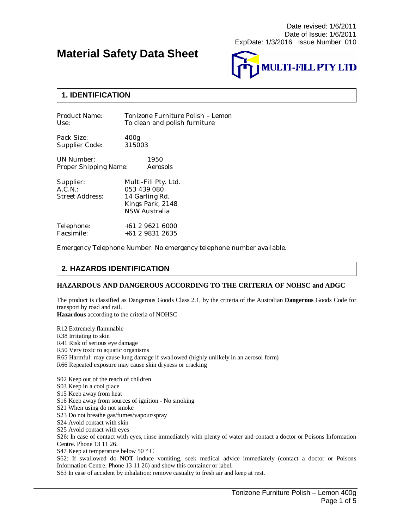# **Material Safety Data Sheet**



### **1. IDENTIFICATION**

| Product Name: | Tonizone Furniture Polish - Lemon |
|---------------|-----------------------------------|
| Use:          | To clean and polish furniture     |

Pack Size: 400g<br>Supplier Code: 315003 Supplier Code:

UN Number: 1950 Proper Shipping Name: Aerosols

| Supplier:<br>$A.C.N.$ :<br>Street Address: | Multi-Fill Pty. Ltd.<br>053 439 080<br>14 Garling Rd.<br>Kings Park, 2148<br><b>NSW Australia</b> |
|--------------------------------------------|---------------------------------------------------------------------------------------------------|
| Telephone:                                 | +61 2 9621 6000                                                                                   |
| Facsimile:                                 | +61 2 9831 2635                                                                                   |

Emergency Telephone Number: No emergency telephone number available.

### **2. HAZARDS IDENTIFICATION**

#### **HAZARDOUS AND DANGEROUS ACCORDING TO THE CRITERIA OF NOHSC and ADGC**

The product is classified as Dangerous Goods Class 2.1, by the criteria of the Australian **Dangerous** Goods Code for transport by road and rail.

**Hazardous** according to the criteria of NOHSC

R12 Extremely flammable R38 Irritating to skin R41 Risk of serious eye damage R50 Very toxic to aquatic organisms R65 Harmful: may cause lung damage if swallowed (highly unlikely in an aerosol form) R66 Repeated exposure may cause skin dryness or cracking S02 Keep out of the reach of children S03 Keep in a cool place S15 Keep away from heat S16 Keep away from sources of ignition - No smoking S21 When using do not smoke S23 Do not breathe gas/fumes/vapour/spray S24 Avoid contact with skin S25 Avoid contact with eyes S26: In case of contact with eyes, rinse immediately with plenty of water and contact a doctor or Poisons Information Centre. Phone 13 11 26.

S47 Keep at temperature below 50 ° C

S62: If swallowed do **NOT** induce vomiting, seek medical advice immediately (contact a doctor or Poisons Information Centre. Phone 13 11 26) and show this container or label.

S63 In case of accident by inhalation: remove casualty to fresh air and keep at rest.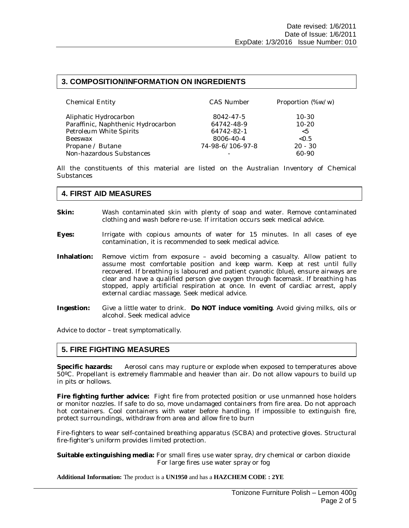#### **3. COMPOSITION/INFORMATION ON INGREDIENTS**

| <b>Chemical Entity</b>             | <b>CAS Number</b> | Proportion (%w/w) |
|------------------------------------|-------------------|-------------------|
| Aliphatic Hydrocarbon              | 8042-47-5         | $10 - 30$         |
| Paraffinic, Naphthenic Hydrocarbon | 64742-48-9        | $10 - 20$         |
| Petroleum White Spirits            | 64742-82-1        | < 5               |
| <b>Beeswax</b>                     | 8006-40-4         | < 0.5             |
| Propane / Butane                   | 74-98-6/106-97-8  | $20 - 30$         |
| Non-hazardous Substances           |                   | 60-90             |

All the constituents of this material are listed on the Australian Inventory of Chemical **Substances** 

#### **4. FIRST AID MEASURES**

- **Skin:** Wash contaminated skin with plenty of soap and water. Remove contaminated clothing and wash before re-use. If irritation occurs seek medical advice.
- **Eyes:** Irrigate with copious amounts of water for 15 minutes. In all cases of eye contamination, it is recommended to seek medical advice.
- **Inhalation:** Remove victim from exposure avoid becoming a casualty. Allow patient to assume most comfortable position and keep warm. Keep at rest until fully recovered. If breathing is laboured and patient cyanotic (blue), ensure airways are clear and have a qualified person give oxygen through facemask. If breathing has stopped, apply artificial respiration at once. In event of cardiac arrest, apply external cardiac massage. Seek medical advice.
- **Ingestion:** Give a little water to drink. **Do NOT induce vomiting**. Avoid giving milks, oils or alcohol. Seek medical advice

Advice to doctor – treat symptomatically.

#### **5. FIRE FIGHTING MEASURES**

**Specific hazards:** Aerosol cans may rupture or explode when exposed to temperatures above 50ºC. Propellant is extremely flammable and heavier than air. Do not allow vapours to build up in pits or hollows.

**Fire fighting further advice:** Fight fire from protected position or use unmanned hose holders or monitor nozzles. If safe to do so, move undamaged containers from fire area. Do not approach hot containers. Cool containers with water before handling. If impossible to extinguish fire, protect surroundings, withdraw from area and allow fire to burn

Fire-fighters to wear self-contained breathing apparatus (SCBA) and protective gloves. Structural fire-fighter's uniform provides limited protection.

**Suitable extinguishing media:** For small fires use water spray, dry chemical or carbon dioxide For large fires use water spray or fog

#### **Additional Information:** The product is a **UN1950** and has a **HAZCHEM CODE : 2YE**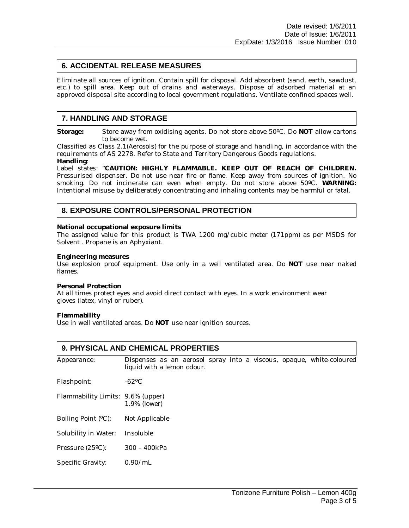### **6. ACCIDENTAL RELEASE MEASURES**

Eliminate all sources of ignition. Contain spill for disposal. Add absorbent (sand, earth, sawdust, etc.) to spill area. Keep out of drains and waterways. Dispose of adsorbed material at an approved disposal site according to local government regulations. Ventilate confined spaces well.

### **7. HANDLING AND STORAGE**

**Storage:** Store away from oxidising agents. Do not store above 50ºC. Do **NOT** allow cartons to become wet.

Classified as Class 2.1(Aerosols) for the purpose of storage and handling, in accordance with the requirements of AS 2278. Refer to State and Territory Dangerous Goods regulations. **Handling**:

Label states: "**CAUTION: HIGHLY FLAMMABLE. KEEP OUT OF REACH OF CHILDREN.** Pressurised dispenser. Do not use near fire or flame. Keep away from sources of ignition. No smoking. Do not incinerate can even when empty. Do not store above 50ºC. **WARNING:** Intentional misuse by deliberately concentrating and inhaling contents may be harmful or fatal.

### **8. EXPOSURE CONTROLS/PERSONAL PROTECTION**

**National occupational exposure limits**

The assigned value for this product is TWA 1200 mg/cubic meter (171ppm) as per MSDS for Solvent . Propane is an Aphyxiant.

**Engineering measures**

Use explosion proof equipment. Use only in a well ventilated area. Do **NOT** use near naked flames.

**Personal Protection**

At all times protect eyes and avoid direct contact with eyes. In a work environment wear gloves (latex, vinyl or ruber).

**Flammability**

Use in well ventilated areas. Do **NOT** use near ignition sources.

| <b>9. PHYSICAL AND CHEMICAL PROPERTIES</b> |                                                                                                    |  |  |  |  |
|--------------------------------------------|----------------------------------------------------------------------------------------------------|--|--|--|--|
| Appearance:                                | Dispenses as an aerosol spray into a viscous, opaque, white-coloured<br>liquid with a lemon odour. |  |  |  |  |
| Flashpoint:                                | $-62$ °C                                                                                           |  |  |  |  |
| Flammability Limits: 9.6% (upper)          | 1.9% (lower)                                                                                       |  |  |  |  |
| Boiling Point (°C):                        | Not Applicable                                                                                     |  |  |  |  |
| Solubility in Water:                       | Insoluble                                                                                          |  |  |  |  |
| Pressure (25°C):                           | $300 - 400kPa$                                                                                     |  |  |  |  |
| Specific Gravity:                          | 0.90/mL                                                                                            |  |  |  |  |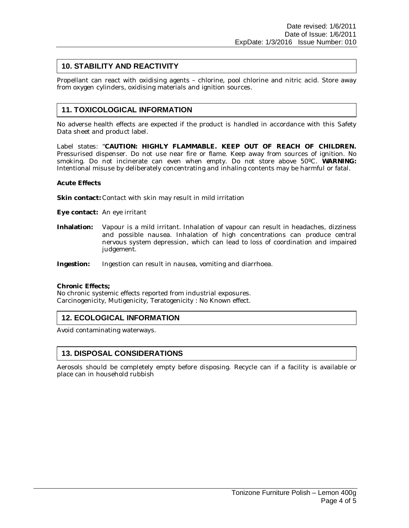## **10. STABILITY AND REACTIVITY**

Propellant can react with oxidising agents – chlorine, pool chlorine and nitric acid. Store away from oxygen cylinders, oxidising materials and ignition sources.

# **11. TOXICOLOGICAL INFORMATION**

No adverse health effects are expected if the product is handled in accordance with this Safety Data sheet and product label.

Label states: "**CAUTION: HIGHLY FLAMMABLE. KEEP OUT OF REACH OF CHILDREN.** Pressurised dispenser. Do not use near fire or flame. Keep away from sources of ignition. No smoking. Do not incinerate can even when empty. Do not store above 50ºC. **WARNING:** Intentional misuse by deliberately concentrating and inhaling contents may be harmful or fatal.

**Acute Effects**

**Skin contact:** Contact with skin may result in mild irritation

**Eye contact:** An eye irritant

**Inhalation:** Vapour is a mild irritant. Inhalation of vapour can result in headaches, dizziness and possible nausea. Inhalation of high concentrations can produce central nervous system depression, which can lead to loss of coordination and impaired judgement.

**Ingestion:** Ingestion can result in nausea, vomiting and diarrhoea.

**Chronic Effects;**

No chronic systemic effects reported from industrial exposures. Carcinogenicity, Mutigenicity, Teratogenicity : No Known effect.

### **12. ECOLOGICAL INFORMATION**

Avoid contaminating waterways.

### **13. DISPOSAL CONSIDERATIONS**

Aerosols should be completely empty before disposing. Recycle can if a facility is available or place can in household rubbish